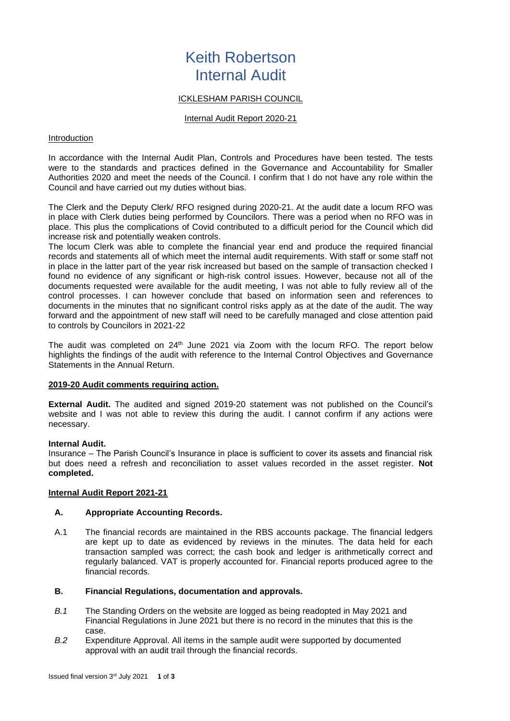# Keith Robertson Internal Audit

# ICKLESHAM PARISH COUNCIL

#### Internal Audit Report 2020-21

#### Introduction

In accordance with the Internal Audit Plan, Controls and Procedures have been tested. The tests were to the standards and practices defined in the Governance and Accountability for Smaller Authorities 2020 and meet the needs of the Council. I confirm that I do not have any role within the Council and have carried out my duties without bias.

The Clerk and the Deputy Clerk/ RFO resigned during 2020-21. At the audit date a locum RFO was in place with Clerk duties being performed by Councilors. There was a period when no RFO was in place. This plus the complications of Covid contributed to a difficult period for the Council which did increase risk and potentially weaken controls.

The locum Clerk was able to complete the financial year end and produce the required financial records and statements all of which meet the internal audit requirements. With staff or some staff not in place in the latter part of the year risk increased but based on the sample of transaction checked I found no evidence of any significant or high-risk control issues. However, because not all of the documents requested were available for the audit meeting, I was not able to fully review all of the control processes. I can however conclude that based on information seen and references to documents in the minutes that no significant control risks apply as at the date of the audit. The way forward and the appointment of new staff will need to be carefully managed and close attention paid to controls by Councilors in 2021-22

The audit was completed on 24<sup>th</sup> June 2021 via Zoom with the locum RFO. The report below highlights the findings of the audit with reference to the Internal Control Objectives and Governance Statements in the Annual Return.

#### **2019-20 Audit comments requiring action.**

**External Audit.** The audited and signed 2019-20 statement was not published on the Council's website and I was not able to review this during the audit. I cannot confirm if any actions were necessary.

#### **Internal Audit.**

Insurance – The Parish Council's Insurance in place is sufficient to cover its assets and financial risk but does need a refresh and reconciliation to asset values recorded in the asset register. **Not completed.**

#### **Internal Audit Report 2021-21**

#### **A. Appropriate Accounting Records.**

A.1 The financial records are maintained in the RBS accounts package. The financial ledgers are kept up to date as evidenced by reviews in the minutes. The data held for each transaction sampled was correct; the cash book and ledger is arithmetically correct and regularly balanced. VAT is properly accounted for. Financial reports produced agree to the financial records.

#### **B. Financial Regulations, documentation and approvals.**

- *B.1* The Standing Orders on the website are logged as being readopted in May 2021 and Financial Regulations in June 2021 but there is no record in the minutes that this is the case.
- *B.2* Expenditure Approval. All items in the sample audit were supported by documented approval with an audit trail through the financial records.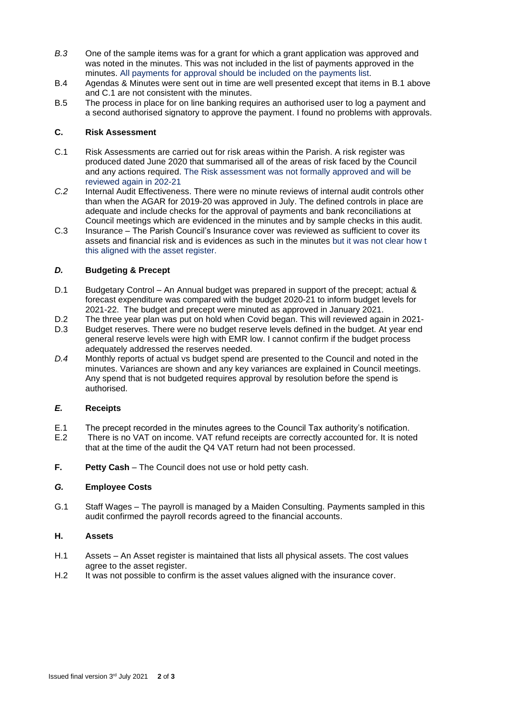- *B.3* One of the sample items was for a grant for which a grant application was approved and was noted in the minutes. This was not included in the list of payments approved in the minutes. All payments for approval should be included on the payments list.
- B.4 Agendas & Minutes were sent out in time are well presented except that items in B.1 above and C.1 are not consistent with the minutes.
- B.5 The process in place for on line banking requires an authorised user to log a payment and a second authorised signatory to approve the payment. I found no problems with approvals.

# **C. Risk Assessment**

- C.1 Risk Assessments are carried out for risk areas within the Parish. A risk register was produced dated June 2020 that summarised all of the areas of risk faced by the Council and any actions required. The Risk assessment was not formally approved and will be reviewed again in 202-21
- *C.2* Internal Audit Effectiveness. There were no minute reviews of internal audit controls other than when the AGAR for 2019-20 was approved in July. The defined controls in place are adequate and include checks for the approval of payments and bank reconciliations at Council meetings which are evidenced in the minutes and by sample checks in this audit.
- C.3 Insurance The Parish Council's Insurance cover was reviewed as sufficient to cover its assets and financial risk and is evidences as such in the minutes but it was not clear how t this aligned with the asset register.

# *D.* **Budgeting & Precept**

- D.1 Budgetary Control An Annual budget was prepared in support of the precept; actual & forecast expenditure was compared with the budget 2020-21 to inform budget levels for 2021-22. The budget and precept were minuted as approved in January 2021.
- D.2 The three year plan was put on hold when Covid began. This will reviewed again in 2021-
- D.3 Budget reserves. There were no budget reserve levels defined in the budget. At year end general reserve levels were high with EMR low. I cannot confirm if the budget process adequately addressed the reserves needed.
- *D.4* Monthly reports of actual vs budget spend are presented to the Council and noted in the minutes. Variances are shown and any key variances are explained in Council meetings. Any spend that is not budgeted requires approval by resolution before the spend is authorised.

# *E.* **Receipts**

- E.1 The precept recorded in the minutes agrees to the Council Tax authority's notification.
- E.2 There is no VAT on income. VAT refund receipts are correctly accounted for. It is noted that at the time of the audit the Q4 VAT return had not been processed.
- **F. Petty Cash** The Council does not use or hold petty cash.

# *G.* **Employee Costs**

G.1 Staff Wages – The payroll is managed by a Maiden Consulting. Payments sampled in this audit confirmed the payroll records agreed to the financial accounts.

#### **H. Assets**

- H.1 Assets An Asset register is maintained that lists all physical assets. The cost values agree to the asset register.
- H.2 It was not possible to confirm is the asset values aligned with the insurance cover.